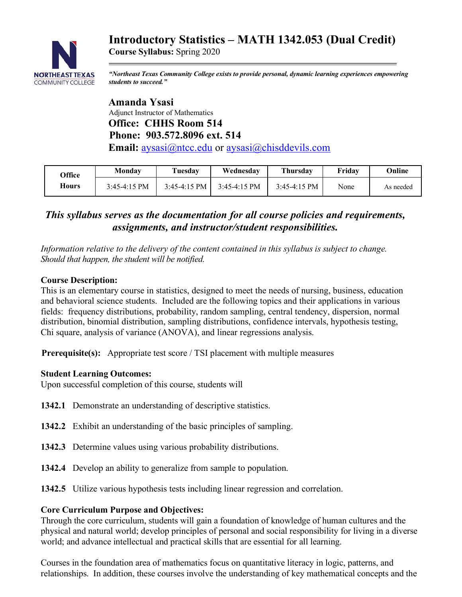# **Introductory Statistics – MATH 1342.053 (Dual Credit)**



**Course Syllabus:** Spring 2020

*"Northeast Texas Community College exists to provide personal, dynamic learning experiences empowering students to succeed."*

 **Amanda Ysasi** Adjunct Instructor of Mathematics  **Office: CHHS Room 514 Phone: 903.572.8096 ext. 514 Email:** aysasi@ntcc.edu or aysasi@chisddevils.com

| Office | Monday         | Tuesday        | Wednesday      | <b>Thursday</b> | Fridav | Online    |
|--------|----------------|----------------|----------------|-----------------|--------|-----------|
| Hours  | $3:45-4:15$ PM | $3:45-4:15$ PM | $3:45-4:15$ PM | $3:45-4:15$ PM  | None   | As needed |

## *This syllabus serves as the documentation for all course policies and requirements, assignments, and instructor/student responsibilities.*

*Information relative to the delivery of the content contained in this syllabus is subject to change. Should that happen, the student will be notified.*

#### **Course Description:**

This is an elementary course in statistics, designed to meet the needs of nursing, business, education and behavioral science students. Included are the following topics and their applications in various fields: frequency distributions, probability, random sampling, central tendency, dispersion, normal distribution, binomial distribution, sampling distributions, confidence intervals, hypothesis testing, Chi square, analysis of variance (ANOVA), and linear regressions analysis.

**Prerequisite(s):** Appropriate test score / TSI placement with multiple measures

#### **Student Learning Outcomes:**

Upon successful completion of this course, students will

- **1342.1** Demonstrate an understanding of descriptive statistics.
- **1342.2** Exhibit an understanding of the basic principles of sampling.
- **1342.3** Determine values using various probability distributions.
- **1342.4** Develop an ability to generalize from sample to population.
- **1342.5** Utilize various hypothesis tests including linear regression and correlation.

## **Core Curriculum Purpose and Objectives:**

Through the core curriculum, students will gain a foundation of knowledge of human cultures and the physical and natural world; develop principles of personal and social responsibility for living in a diverse world; and advance intellectual and practical skills that are essential for all learning.

Courses in the foundation area of mathematics focus on quantitative literacy in logic, patterns, and relationships. In addition, these courses involve the understanding of key mathematical concepts and the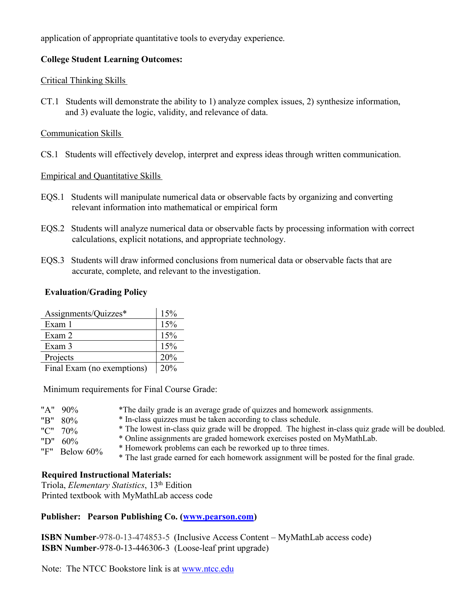application of appropriate quantitative tools to everyday experience.

#### **College Student Learning Outcomes:**

#### Critical Thinking Skills

CT.1 Students will demonstrate the ability to 1) analyze complex issues, 2) synthesize information, and 3) evaluate the logic, validity, and relevance of data.

#### Communication Skills

CS.1 Students will effectively develop, interpret and express ideas through written communication.

#### Empirical and Quantitative Skills

- EQS.1 Students will manipulate numerical data or observable facts by organizing and converting relevant information into mathematical or empirical form
- EQS.2 Students will analyze numerical data or observable facts by processing information with correct calculations, explicit notations, and appropriate technology.
- EQS.3 Students will draw informed conclusions from numerical data or observable facts that are accurate, complete, and relevant to the investigation.

#### **Evaluation/Grading Policy**

| Assignments/Quizzes*       | 15% |
|----------------------------|-----|
| Exam 1                     | 15% |
| Exam 2                     | 15% |
| Exam 3                     | 15% |
| Projects                   | 20% |
| Final Exam (no exemptions) | 20% |

Minimum requirements for Final Course Grade:

| "A" 90%          | *The daily grade is an average grade of quizzes and homework assignments.                          |
|------------------|----------------------------------------------------------------------------------------------------|
| "B" 80%          | * In-class quizzes must be taken according to class schedule.                                      |
| "C" 70%          | * The lowest in-class quiz grade will be dropped. The highest in-class quiz grade will be doubled. |
| "D" $60\%$       | * Online assignments are graded homework exercises posted on MyMathLab.                            |
| "F" Below $60\%$ | * Homework problems can each be reworked up to three times.                                        |
|                  | * The last grade earned for each homework assignment will be posted for the final grade.           |

## **Required Instructional Materials:**

 Triola, *Elementary Statistics*, 13th Edition Printed textbook with MyMathLab access code

#### **Publisher: Pearson Publishing Co. (www.pearson.com)**

 **ISBN Number**-978-0-13-474853-5 (Inclusive Access Content – MyMathLab access code) **ISBN Number**-978-0-13-446306-3 (Loose-leaf print upgrade)

Note: The NTCC Bookstore link is at www.ntcc.edu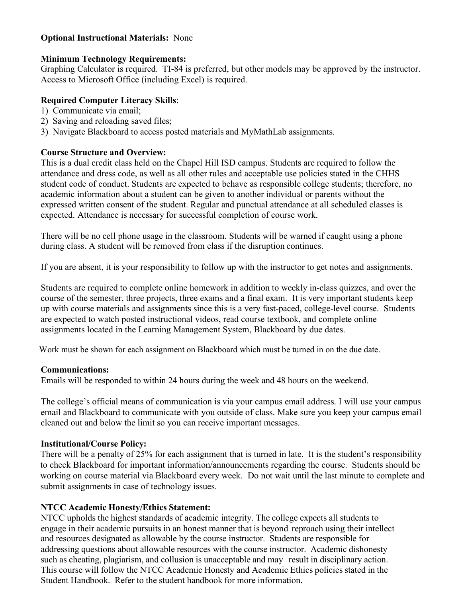#### **Optional Instructional Materials:** None

#### **Minimum Technology Requirements:**

Graphing Calculator is required. TI-84 is preferred, but other models may be approved by the instructor. Access to Microsoft Office (including Excel) is required.

#### **Required Computer Literacy Skills**:

- 1) Communicate via email;
- 2) Saving and reloading saved files;
- 3) Navigate Blackboard to access posted materials and MyMathLab assignments.

#### **Course Structure and Overview:**

This is a dual credit class held on the Chapel Hill ISD campus. Students are required to follow the attendance and dress code, as well as all other rules and acceptable use policies stated in the CHHS student code of conduct. Students are expected to behave as responsible college students; therefore, no academic information about a student can be given to another individual or parents without the expressed written consent of the student. Regular and punctual attendance at all scheduled classes is expected. Attendance is necessary for successful completion of course work.

There will be no cell phone usage in the classroom. Students will be warned if caught using a phone during class. A student will be removed from class if the disruption continues.

If you are absent, it is your responsibility to follow up with the instructor to get notes and assignments.

Students are required to complete online homework in addition to weekly in-class quizzes, and over the course of the semester, three projects, three exams and a final exam. It is very important students keep up with course materials and assignments since this is a very fast-paced, college-level course. Students are expected to watch posted instructional videos, read course textbook, and complete online assignments located in the Learning Management System, Blackboard by due dates.

Work must be shown for each assignment on Blackboard which must be turned in on the due date.

## **Communications:**

Emails will be responded to within 24 hours during the week and 48 hours on the weekend.

The college's official means of communication is via your campus email address. I will use your campus email and Blackboard to communicate with you outside of class. Make sure you keep your campus email cleaned out and below the limit so you can receive important messages.

#### **Institutional/Course Policy:**

There will be a penalty of 25% for each assignment that is turned in late. It is the student's responsibility to check Blackboard for important information/announcements regarding the course. Students should be working on course material via Blackboard every week. Do not wait until the last minute to complete and submit assignments in case of technology issues.

## **NTCC Academic Honesty/Ethics Statement:**

NTCC upholds the highest standards of academic integrity. The college expects all students to engage in their academic pursuits in an honest manner that is beyond reproach using their intellect and resources designated as allowable by the course instructor. Students are responsible for addressing questions about allowable resources with the course instructor. Academic dishonesty such as cheating, plagiarism, and collusion is unacceptable and may result in disciplinary action. This course will follow the NTCC Academic Honesty and Academic Ethics policies stated in the Student Handbook. Refer to the student handbook for more information.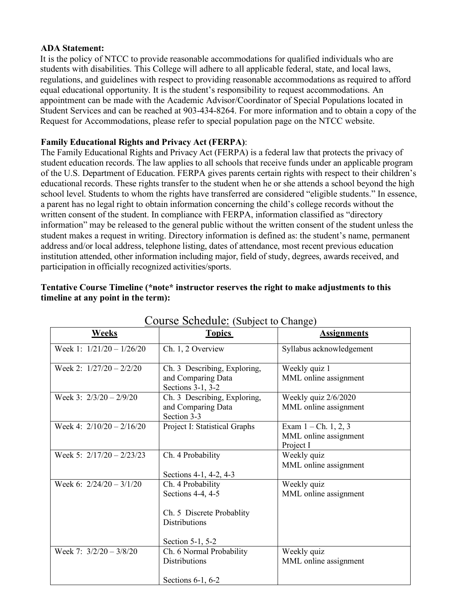#### **ADA Statement:**

It is the policy of NTCC to provide reasonable accommodations for qualified individuals who are students with disabilities. This College will adhere to all applicable federal, state, and local laws, regulations, and guidelines with respect to providing reasonable accommodations as required to afford equal educational opportunity. It is the student's responsibility to request accommodations. An appointment can be made with the Academic Advisor/Coordinator of Special Populations located in Student Services and can be reached at 903-434-8264. For more information and to obtain a copy of the Request for Accommodations, please refer to special population page on the NTCC website.

#### **Family Educational Rights and Privacy Act (FERPA)**:

The Family Educational Rights and Privacy Act (FERPA) is a federal law that protects the privacy of student education records. The law applies to all schools that receive funds under an applicable program of the U.S. Department of Education. FERPA gives parents certain rights with respect to their children's educational records. These rights transfer to the student when he or she attends a school beyond the high school level. Students to whom the rights have transferred are considered "eligible students." In essence, a parent has no legal right to obtain information concerning the child's college records without the written consent of the student. In compliance with FERPA, information classified as "directory information" may be released to the general public without the written consent of the student unless the student makes a request in writing. Directory information is defined as: the student's name, permanent address and/or local address, telephone listing, dates of attendance, most recent previous education institution attended, other information including major, field of study, degrees, awards received, and participation in officially recognized activities/sports.

| Course Schedule: (Subject to Change) |                                                                                                                 |                                                              |  |  |
|--------------------------------------|-----------------------------------------------------------------------------------------------------------------|--------------------------------------------------------------|--|--|
| Weeks                                | <b>Topics</b>                                                                                                   | <b>Assignments</b>                                           |  |  |
| Week 1: $1/21/20 - 1/26/20$          | Ch. 1, 2 Overview                                                                                               | Syllabus acknowledgement                                     |  |  |
| Week 2: $1/27/20 - 2/2/20$           | Ch. 3 Describing, Exploring,<br>and Comparing Data<br>Sections 3-1, 3-2                                         | Weekly quiz 1<br>MML online assignment                       |  |  |
| Week 3: $2/3/20 - 2/9/20$            | Ch. 3 Describing, Exploring,<br>and Comparing Data<br>Section 3-3                                               | Weekly quiz $2/6/2020$<br>MML online assignment              |  |  |
| Week 4: $2/10/20 - 2/16/20$          | Project I: Statistical Graphs                                                                                   | Exam $1 - Ch. 1, 2, 3$<br>MML online assignment<br>Project I |  |  |
| Week 5: $2/17/20 - 2/23/23$          | Ch. 4 Probability<br>Sections 4-1, 4-2, 4-3                                                                     | Weekly quiz<br>MML online assignment                         |  |  |
| Week 6: $2/24/20 - 3/1/20$           | Ch. 4 Probability<br>Sections 4-4, 4-5<br>Ch. 5 Discrete Probablity<br><b>Distributions</b><br>Section 5-1, 5-2 | Weekly quiz<br>MML online assignment                         |  |  |
| Week 7: 3/2/20 - 3/8/20              | Ch. 6 Normal Probability<br><b>Distributions</b><br>Sections 6-1, 6-2                                           | Weekly quiz<br>MML online assignment                         |  |  |

#### **Tentative Course Timeline (\*note\* instructor reserves the right to make adjustments to this timeline at any point in the term):**